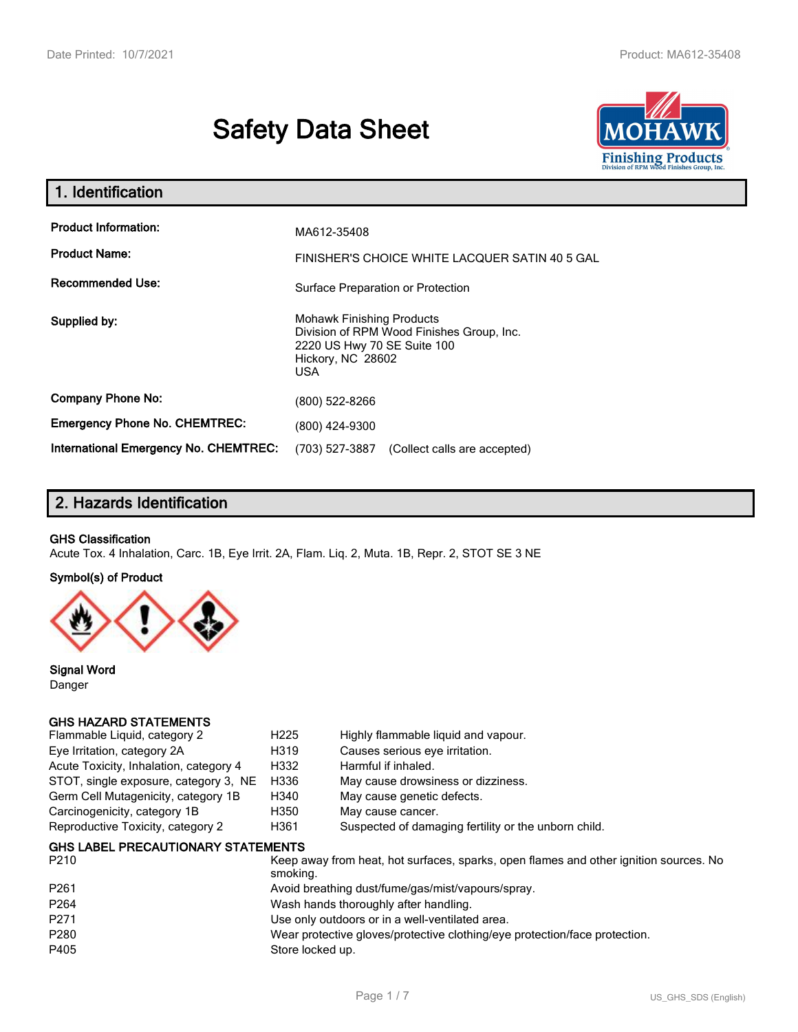# **Safety Data Sheet**



| 1. Identification                                                              |                                                                                                                                                 |
|--------------------------------------------------------------------------------|-------------------------------------------------------------------------------------------------------------------------------------------------|
| <b>Product Information:</b><br><b>Product Name:</b><br><b>Recommended Use:</b> | MA612-35408<br>FINISHER'S CHOICE WHITE LACQUER SATIN 40 5 GAL<br>Surface Preparation or Protection                                              |
| Supplied by:                                                                   | <b>Mohawk Finishing Products</b><br>Division of RPM Wood Finishes Group, Inc.<br>2220 US Hwy 70 SE Suite 100<br>Hickory, NC 28602<br><b>USA</b> |
| <b>Company Phone No:</b>                                                       | (800) 522-8266                                                                                                                                  |
| <b>Emergency Phone No. CHEMTREC:</b>                                           | (800) 424-9300                                                                                                                                  |
| <b>International Emergency No. CHEMTREC:</b>                                   | (703) 527-3887<br>(Collect calls are accepted)                                                                                                  |

# **2. Hazards Identification**

#### **GHS Classification**

Acute Tox. 4 Inhalation, Carc. 1B, Eye Irrit. 2A, Flam. Liq. 2, Muta. 1B, Repr. 2, STOT SE 3 NE

#### **Symbol(s) of Product**



**Signal Word** Danger

#### **GHS HAZARD STATEMENTS**

| Flammable Liquid, category 2           | H <sub>225</sub> | Highly flammable liquid and vapour.                  |
|----------------------------------------|------------------|------------------------------------------------------|
| Eye Irritation, category 2A            | H319             | Causes serious eye irritation.                       |
| Acute Toxicity, Inhalation, category 4 | H332             | Harmful if inhaled.                                  |
| STOT, single exposure, category 3, NE  | H336             | May cause drowsiness or dizziness.                   |
| Germ Cell Mutagenicity, category 1B    | H340             | May cause genetic defects.                           |
| Carcinogenicity, category 1B           | H350             | May cause cancer.                                    |
| Reproductive Toxicity, category 2      | H361             | Suspected of damaging fertility or the unborn child. |
|                                        |                  |                                                      |

#### **GHS LABEL PRECAUTIONARY STATEMENTS**

| P <sub>210</sub> | Keep away from heat, hot surfaces, sparks, open flames and other ignition sources. No<br>smoking. |
|------------------|---------------------------------------------------------------------------------------------------|
| P <sub>261</sub> | Avoid breathing dust/fume/gas/mist/vapours/spray.                                                 |
| P <sub>264</sub> | Wash hands thoroughly after handling.                                                             |
| P <sub>271</sub> | Use only outdoors or in a well-ventilated area.                                                   |
| P280             | Wear protective gloves/protective clothing/eye protection/face protection.                        |
| P405             | Store locked up.                                                                                  |
|                  |                                                                                                   |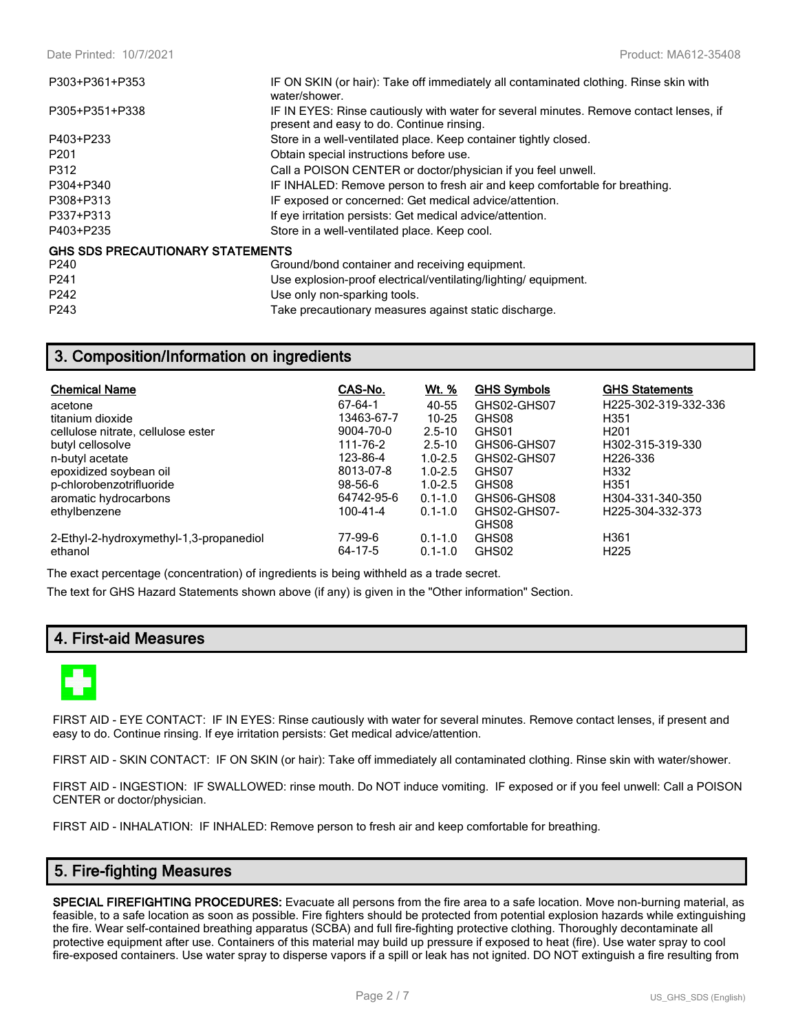| P303+P361+P353                          | IF ON SKIN (or hair): Take off immediately all contaminated clothing. Rinse skin with<br>water/shower.                              |
|-----------------------------------------|-------------------------------------------------------------------------------------------------------------------------------------|
| P305+P351+P338                          | IF IN EYES: Rinse cautiously with water for several minutes. Remove contact lenses, if<br>present and easy to do. Continue rinsing. |
| P403+P233                               | Store in a well-ventilated place. Keep container tightly closed.                                                                    |
| P <sub>201</sub>                        | Obtain special instructions before use.                                                                                             |
| P312                                    | Call a POISON CENTER or doctor/physician if you feel unwell.                                                                        |
| P304+P340                               | IF INHALED: Remove person to fresh air and keep comfortable for breathing.                                                          |
| P308+P313                               | IF exposed or concerned: Get medical advice/attention.                                                                              |
| P337+P313                               | If eye irritation persists: Get medical advice/attention.                                                                           |
| P403+P235                               | Store in a well-ventilated place. Keep cool.                                                                                        |
| <b>GHS SDS PRECAUTIONARY STATEMENTS</b> |                                                                                                                                     |
| P240                                    | Ground/bond container and receiving equipment.                                                                                      |
| P <sub>241</sub>                        | Use explosion-proof electrical/ventilating/lighting/equipment.                                                                      |
| P242                                    | Use only non-sparking tools.                                                                                                        |
| P243                                    | Take precautionary measures against static discharge.                                                                               |

## **3. Composition/Information on ingredients**

| <b>Chemical Name</b>                    | CAS-No.       | <u>Wt. %</u> | <b>GHS Symbols</b> | <b>GHS Statements</b> |
|-----------------------------------------|---------------|--------------|--------------------|-----------------------|
| acetone                                 | 67-64-1       | 40-55        | GHS02-GHS07        | H225-302-319-332-336  |
| titanium dioxide                        | 13463-67-7    | $10 - 25$    | GHS08              | H <sub>351</sub>      |
| cellulose nitrate, cellulose ester      | 9004-70-0     | $2.5 - 10$   | GHS01              | H <sub>201</sub>      |
| butyl cellosolve                        | 111-76-2      | $2.5 - 10$   | GHS06-GHS07        | H302-315-319-330      |
| n-butyl acetate                         | 123-86-4      | $1.0 - 2.5$  | GHS02-GHS07        | H <sub>226</sub> -336 |
| epoxidized soybean oil                  | 8013-07-8     | $1.0 - 2.5$  | GHS07              | H332                  |
| p-chlorobenzotrifluoride                | $98 - 56 - 6$ | $1.0 - 2.5$  | GHS08              | H <sub>351</sub>      |
| aromatic hydrocarbons                   | 64742-95-6    | $0.1 - 1.0$  | GHS06-GHS08        | H304-331-340-350      |
| ethylbenzene                            | 100-41-4      | $0.1 - 1.0$  | GHS02-GHS07-       | H225-304-332-373      |
|                                         |               |              | GHS08              |                       |
| 2-Ethyl-2-hydroxymethyl-1,3-propanediol | 77-99-6       | $0.1 - 1.0$  | GHS08              | H <sub>361</sub>      |
| ethanol                                 | 64-17-5       | $0.1 - 1.0$  | GHS02              | H <sub>225</sub>      |

The exact percentage (concentration) of ingredients is being withheld as a trade secret.

The text for GHS Hazard Statements shown above (if any) is given in the "Other information" Section.

## **4. First-aid Measures**



FIRST AID - EYE CONTACT: IF IN EYES: Rinse cautiously with water for several minutes. Remove contact lenses, if present and easy to do. Continue rinsing. If eye irritation persists: Get medical advice/attention.

FIRST AID - SKIN CONTACT: IF ON SKIN (or hair): Take off immediately all contaminated clothing. Rinse skin with water/shower.

FIRST AID - INGESTION: IF SWALLOWED: rinse mouth. Do NOT induce vomiting. IF exposed or if you feel unwell: Call a POISON CENTER or doctor/physician.

FIRST AID - INHALATION: IF INHALED: Remove person to fresh air and keep comfortable for breathing.

## **5. Fire-fighting Measures**

**SPECIAL FIREFIGHTING PROCEDURES:** Evacuate all persons from the fire area to a safe location. Move non-burning material, as feasible, to a safe location as soon as possible. Fire fighters should be protected from potential explosion hazards while extinguishing the fire. Wear self-contained breathing apparatus (SCBA) and full fire-fighting protective clothing. Thoroughly decontaminate all protective equipment after use. Containers of this material may build up pressure if exposed to heat (fire). Use water spray to cool fire-exposed containers. Use water spray to disperse vapors if a spill or leak has not ignited. DO NOT extinguish a fire resulting from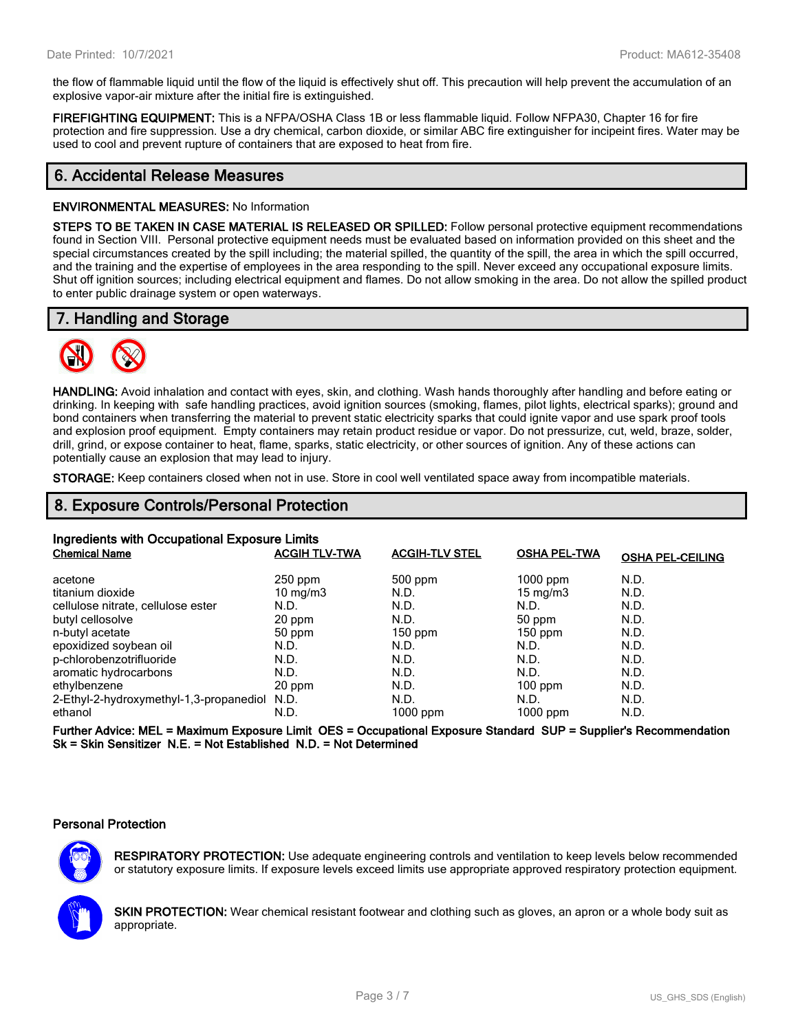the flow of flammable liquid until the flow of the liquid is effectively shut off. This precaution will help prevent the accumulation of an explosive vapor-air mixture after the initial fire is extinguished.

**FIREFIGHTING EQUIPMENT:** This is a NFPA/OSHA Class 1B or less flammable liquid. Follow NFPA30, Chapter 16 for fire protection and fire suppression. Use a dry chemical, carbon dioxide, or similar ABC fire extinguisher for incipeint fires. Water may be used to cool and prevent rupture of containers that are exposed to heat from fire.

## **6. Accidental Release Measures**

#### **ENVIRONMENTAL MEASURES:** No Information

**STEPS TO BE TAKEN IN CASE MATERIAL IS RELEASED OR SPILLED:** Follow personal protective equipment recommendations found in Section VIII. Personal protective equipment needs must be evaluated based on information provided on this sheet and the special circumstances created by the spill including; the material spilled, the quantity of the spill, the area in which the spill occurred, and the training and the expertise of employees in the area responding to the spill. Never exceed any occupational exposure limits. Shut off ignition sources; including electrical equipment and flames. Do not allow smoking in the area. Do not allow the spilled product to enter public drainage system or open waterways.

## **7. Handling and Storage**



**HANDLING:** Avoid inhalation and contact with eyes, skin, and clothing. Wash hands thoroughly after handling and before eating or drinking. In keeping with safe handling practices, avoid ignition sources (smoking, flames, pilot lights, electrical sparks); ground and bond containers when transferring the material to prevent static electricity sparks that could ignite vapor and use spark proof tools and explosion proof equipment. Empty containers may retain product residue or vapor. Do not pressurize, cut, weld, braze, solder, drill, grind, or expose container to heat, flame, sparks, static electricity, or other sources of ignition. Any of these actions can potentially cause an explosion that may lead to injury.

**STORAGE:** Keep containers closed when not in use. Store in cool well ventilated space away from incompatible materials.

## **8. Exposure Controls/Personal Protection**

| Ingredients with Occupational Exposure Limits |                      |                       |                     |                         |  |
|-----------------------------------------------|----------------------|-----------------------|---------------------|-------------------------|--|
| <b>Chemical Name</b>                          | <b>ACGIH TLV-TWA</b> | <b>ACGIH-TLV STEL</b> | <b>OSHA PEL-TWA</b> | <b>OSHA PEL-CEILING</b> |  |
| acetone                                       | $250$ ppm            | $500$ ppm             | $1000$ ppm          | N.D.                    |  |
| titanium dioxide                              | $10 \text{ mg/m}$    | N.D.                  | $15 \text{ mg/m}$   | N.D.                    |  |
| cellulose nitrate, cellulose ester            | N.D.                 | N.D.                  | N.D.                | N.D.                    |  |
| butyl cellosolve                              | 20 ppm               | N.D.                  | 50 ppm              | N.D.                    |  |
| n-butyl acetate                               | 50 ppm               | $150$ ppm             | $150$ ppm           | N.D.                    |  |
| epoxidized soybean oil                        | N.D.                 | N.D.                  | N.D.                | N.D.                    |  |
| p-chlorobenzotrifluoride                      | N.D.                 | N.D.                  | N.D.                | N.D.                    |  |
| aromatic hydrocarbons                         | N.D.                 | N.D.                  | N.D.                | N.D.                    |  |
| ethylbenzene                                  | 20 ppm               | N.D.                  | $100$ ppm           | N.D.                    |  |
| 2-Ethyl-2-hydroxymethyl-1,3-propanediol N.D.  |                      | N.D.                  | N.D.                | N.D.                    |  |
| ethanol                                       | N.D.                 | 1000 ppm              | $1000$ ppm          | N.D.                    |  |

**Further Advice: MEL = Maximum Exposure Limit OES = Occupational Exposure Standard SUP = Supplier's Recommendation Sk = Skin Sensitizer N.E. = Not Established N.D. = Not Determined**

#### **Personal Protection**



**RESPIRATORY PROTECTION:** Use adequate engineering controls and ventilation to keep levels below recommended or statutory exposure limits. If exposure levels exceed limits use appropriate approved respiratory protection equipment.

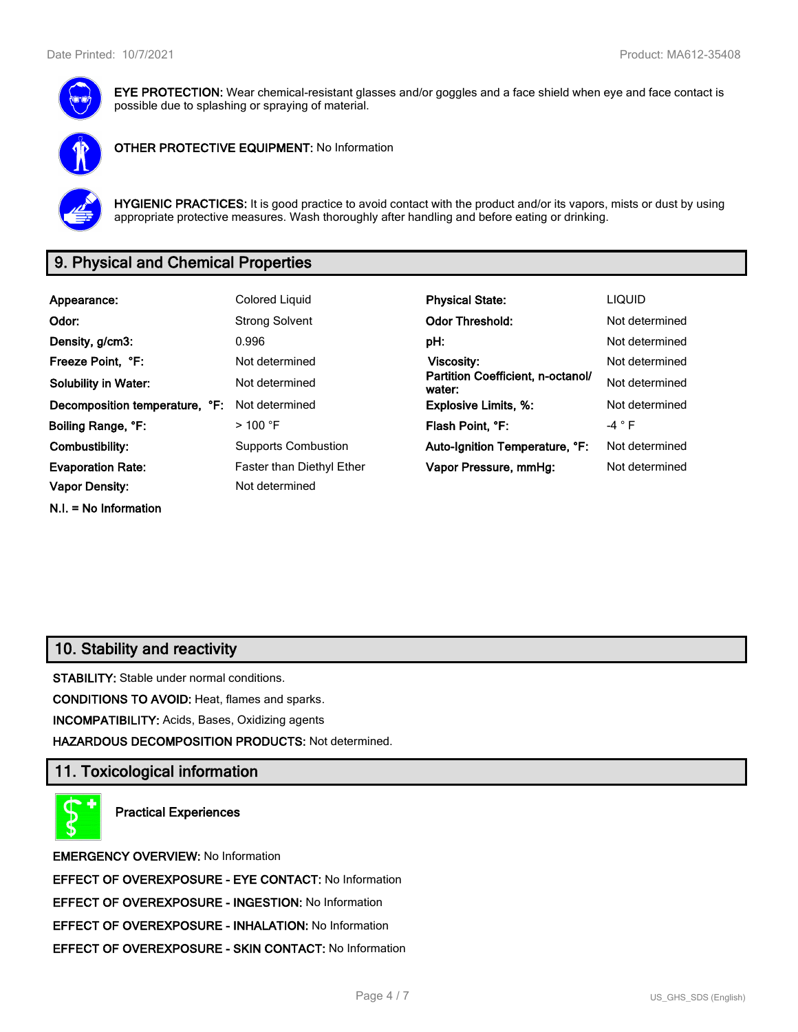

**EYE PROTECTION:** Wear chemical-resistant glasses and/or goggles and a face shield when eye and face contact is possible due to splashing or spraying of material.



**OTHER PROTECTIVE EQUIPMENT:** No Information



**HYGIENIC PRACTICES:** It is good practice to avoid contact with the product and/or its vapors, mists or dust by using appropriate protective measures. Wash thoroughly after handling and before eating or drinking.

# **9. Physical and Chemical Properties**

| Appearance:                    | Colored Liquid                   | <b>Physical State:</b>                      | <b>LIQUID</b>   |
|--------------------------------|----------------------------------|---------------------------------------------|-----------------|
| Odor:                          | <b>Strong Solvent</b>            | <b>Odor Threshold:</b>                      | Not determined  |
| Density, g/cm3:                | 0.996                            | pH:                                         | Not determined  |
| Freeze Point, °F:              | Not determined                   | Viscosity:                                  | Not determined  |
| <b>Solubility in Water:</b>    | Not determined                   | Partition Coefficient, n-octanol/<br>water: | Not determined  |
| Decomposition temperature, °F: | Not determined                   | <b>Explosive Limits, %:</b>                 | Not determined  |
| Boiling Range, °F:             | $>$ 100 °F                       | Flash Point, °F:                            | -4 $^{\circ}$ F |
| Combustibility:                | <b>Supports Combustion</b>       | Auto-Ignition Temperature, °F:              | Not determined  |
| <b>Evaporation Rate:</b>       | <b>Faster than Diethyl Ether</b> | Vapor Pressure, mmHg:                       | Not determined  |
| <b>Vapor Density:</b>          | Not determined                   |                                             |                 |
| $N.I. = No Information$        |                                  |                                             |                 |

## **10. Stability and reactivity**

**STABILITY:** Stable under normal conditions.

**CONDITIONS TO AVOID:** Heat, flames and sparks.

**INCOMPATIBILITY:** Acids, Bases, Oxidizing agents

**HAZARDOUS DECOMPOSITION PRODUCTS:** Not determined.

## **11. Toxicological information**

**Practical Experiences**

**EMERGENCY OVERVIEW:** No Information **EFFECT OF OVEREXPOSURE - EYE CONTACT:** No Information **EFFECT OF OVEREXPOSURE - INGESTION:** No Information **EFFECT OF OVEREXPOSURE - INHALATION:** No Information **EFFECT OF OVEREXPOSURE - SKIN CONTACT:** No Information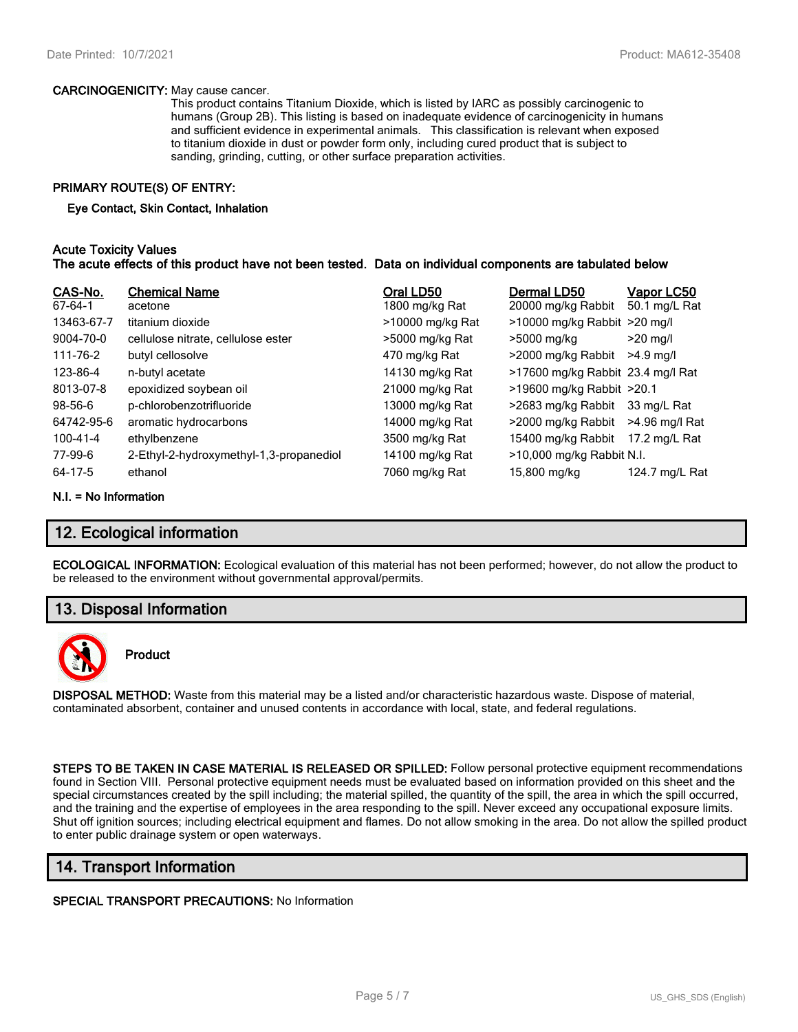#### **CARCINOGENICITY:** May cause cancer.

This product contains Titanium Dioxide, which is listed by IARC as possibly carcinogenic to humans (Group 2B). This listing is based on inadequate evidence of carcinogenicity in humans and sufficient evidence in experimental animals. This classification is relevant when exposed to titanium dioxide in dust or powder form only, including cured product that is subject to sanding, grinding, cutting, or other surface preparation activities.

#### **PRIMARY ROUTE(S) OF ENTRY:**

#### **Eye Contact, Skin Contact, Inhalation**

#### **Acute Toxicity Values The acute effects of this product have not been tested. Data on individual components are tabulated below**

| CAS-No.<br>67-64-1 | <b>Chemical Name</b><br>acetone         | Oral LD50<br>1800 mg/kg Rat | Dermal LD50<br>20000 mg/kg Rabbit | <u>Vapor LC50</u><br>50.1 mg/L Rat |
|--------------------|-----------------------------------------|-----------------------------|-----------------------------------|------------------------------------|
| 13463-67-7         | titanium dioxide                        | >10000 mg/kg Rat            | $>10000$ mg/kg Rabbit $>20$ mg/l  |                                    |
| 9004-70-0          | cellulose nitrate, cellulose ester      | >5000 mg/kg Rat             | >5000 mg/kg                       | $>20$ mg/l                         |
| 111-76-2           | butyl cellosolve                        | 470 mg/kg Rat               | >2000 mg/kg Rabbit                | $>4.9$ ma/l                        |
| 123-86-4           | n-butyl acetate                         | 14130 mg/kg Rat             | >17600 mg/kg Rabbit 23.4 mg/l Rat |                                    |
| 8013-07-8          | epoxidized soybean oil                  | 21000 mg/kg Rat             | >19600 mg/kg Rabbit >20.1         |                                    |
| $98 - 56 - 6$      | p-chlorobenzotrifluoride                | 13000 mg/kg Rat             | >2683 mg/kg Rabbit                | 33 mg/L Rat                        |
| 64742-95-6         | aromatic hydrocarbons                   | 14000 mg/kg Rat             | >2000 mg/kg Rabbit                | >4.96 mg/l Rat                     |
| 100-41-4           | ethylbenzene                            | 3500 mg/kg Rat              | 15400 mg/kg Rabbit                | 17.2 mg/L Rat                      |
| 77-99-6            | 2-Ethyl-2-hydroxymethyl-1,3-propanediol | 14100 mg/kg Rat             | >10,000 mg/kg Rabbit N.I.         |                                    |
| 64-17-5            | ethanol                                 | 7060 mg/kg Rat              | 15,800 mg/kg                      | 124.7 mg/L Rat                     |

#### **N.I. = No Information**

## **12. Ecological information**

**ECOLOGICAL INFORMATION:** Ecological evaluation of this material has not been performed; however, do not allow the product to be released to the environment without governmental approval/permits.

## **13. Disposal Information**



## **Product**

**DISPOSAL METHOD:** Waste from this material may be a listed and/or characteristic hazardous waste. Dispose of material, contaminated absorbent, container and unused contents in accordance with local, state, and federal regulations.

**STEPS TO BE TAKEN IN CASE MATERIAL IS RELEASED OR SPILLED:** Follow personal protective equipment recommendations found in Section VIII. Personal protective equipment needs must be evaluated based on information provided on this sheet and the special circumstances created by the spill including; the material spilled, the quantity of the spill, the area in which the spill occurred, and the training and the expertise of employees in the area responding to the spill. Never exceed any occupational exposure limits. Shut off ignition sources; including electrical equipment and flames. Do not allow smoking in the area. Do not allow the spilled product to enter public drainage system or open waterways.

## **14. Transport Information**

#### **SPECIAL TRANSPORT PRECAUTIONS:** No Information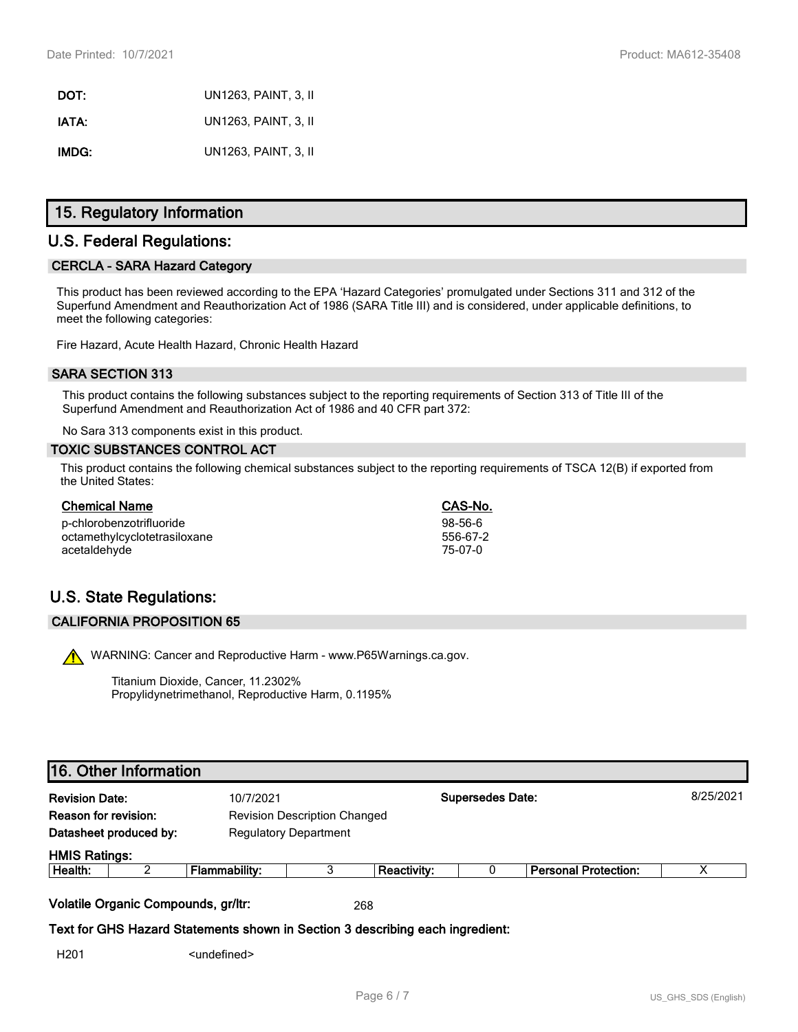**DOT:** UN1263, PAINT, 3, II **IATA:** UN1263, PAINT, 3, II **IMDG:** UN1263, PAINT, 3, II

## **15. Regulatory Information**

## **U.S. Federal Regulations:**

#### **CERCLA - SARA Hazard Category**

This product has been reviewed according to the EPA 'Hazard Categories' promulgated under Sections 311 and 312 of the Superfund Amendment and Reauthorization Act of 1986 (SARA Title III) and is considered, under applicable definitions, to meet the following categories:

Fire Hazard, Acute Health Hazard, Chronic Health Hazard

#### **SARA SECTION 313**

This product contains the following substances subject to the reporting requirements of Section 313 of Title III of the Superfund Amendment and Reauthorization Act of 1986 and 40 CFR part 372:

No Sara 313 components exist in this product.

#### **TOXIC SUBSTANCES CONTROL ACT**

This product contains the following chemical substances subject to the reporting requirements of TSCA 12(B) if exported from the United States:

| <b>Chemical Name</b>         | CAS-No.   |
|------------------------------|-----------|
| p-chlorobenzotrifluoride     | $98-56-6$ |
| octamethylcyclotetrasiloxane | 556-67-2  |
| acetaldehyde                 | 75-07-0   |

# **U.S. State Regulations:**

#### **CALIFORNIA PROPOSITION 65**

WARNING: Cancer and Reproductive Harm - www.P65Warnings.ca.gov.

Titanium Dioxide, Cancer, 11.2302% Propylidynetrimethanol, Reproductive Harm, 0.1195%

# **16. Other Information**

| <b>Revision Date:</b><br>10/7/2021 |                                     |                                                                               |     | <b>Supersedes Date:</b> |  |                             | 8/25/2021 |
|------------------------------------|-------------------------------------|-------------------------------------------------------------------------------|-----|-------------------------|--|-----------------------------|-----------|
| <b>Reason for revision:</b>        |                                     | <b>Revision Description Changed</b>                                           |     |                         |  |                             |           |
|                                    | Datasheet produced by:              | <b>Regulatory Department</b>                                                  |     |                         |  |                             |           |
| <b>HMIS Ratings:</b>               |                                     |                                                                               |     |                         |  |                             |           |
| Health:                            | ົ                                   | Flammability:                                                                 | 3   | <b>Reactivity:</b>      |  | <b>Personal Protection:</b> | х         |
|                                    | Volatile Organic Compounds, gr/ltr: |                                                                               | 268 |                         |  |                             |           |
|                                    |                                     | Text for GHS Hazard Statements shown in Section 3 describing each ingredient: |     |                         |  |                             |           |
| H <sub>201</sub>                   |                                     | <undefined></undefined>                                                       |     |                         |  |                             |           |